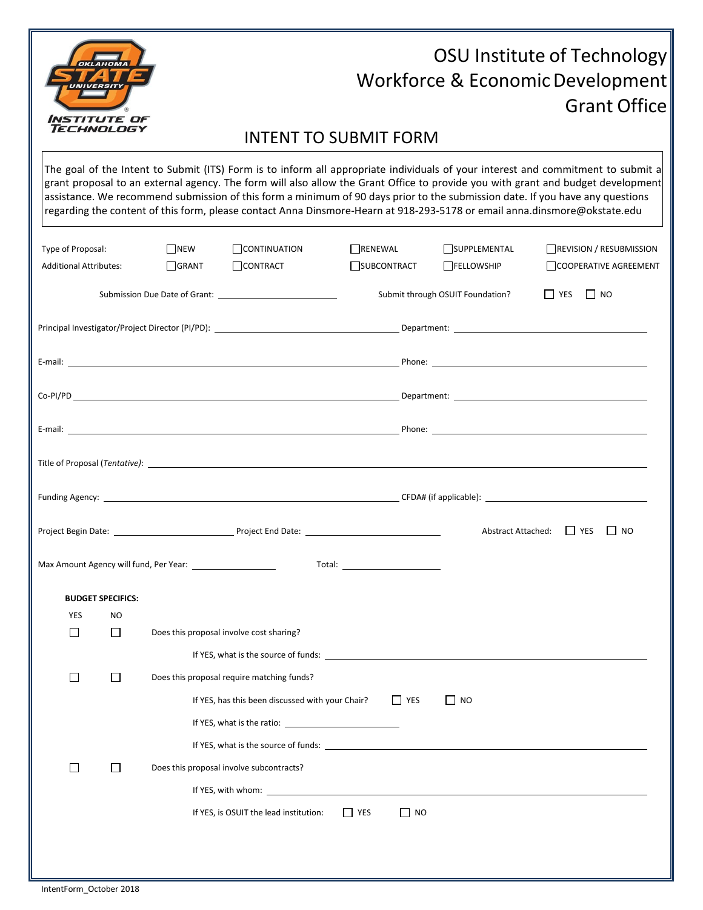

## OSU Institute of Technology Workforce & Economic Development Grant Office

## INTENT TO SUBMIT FORM

The goal of the Intent to Submit (ITS) Form is to inform all appropriate individuals of your interest and commitment to submit a grant proposal to an external agency. The form will also allow the Grant Office to provide you with grant and budget development assistance. We recommend submission of this form a minimum of 90 days prior to the submission date. If you have any questions regarding the content of this form, please contact Anna Dinsmore-Hearn at 918-293-5178 or email [anna.dinsmore@okstate.edu](mailto:anna.dinsmore@okstate.edu)

| Type of Proposal:<br><b>Additional Attributes:</b> | $\Box$ NEW<br><b>N</b> GRANT | $\Box$ CONTINUATION<br>$\Box$ CONTRACT           | RENEWAL                                                  | SUBCONTRACT | SUPPLEMENTAL<br><b>FELLOWSHIP</b> | REVISION / RESUBMISSION<br>COOPERATIVE AGREEMENT |  |
|----------------------------------------------------|------------------------------|--------------------------------------------------|----------------------------------------------------------|-------------|-----------------------------------|--------------------------------------------------|--|
|                                                    |                              |                                                  | $\Box$ YES $\Box$ NO<br>Submit through OSUIT Foundation? |             |                                   |                                                  |  |
|                                                    |                              |                                                  |                                                          |             |                                   |                                                  |  |
|                                                    |                              |                                                  |                                                          |             |                                   |                                                  |  |
|                                                    |                              |                                                  |                                                          |             |                                   |                                                  |  |
|                                                    |                              |                                                  |                                                          |             |                                   |                                                  |  |
|                                                    |                              |                                                  |                                                          |             |                                   |                                                  |  |
|                                                    |                              |                                                  |                                                          |             |                                   |                                                  |  |
|                                                    |                              |                                                  |                                                          |             |                                   | Abstract Attached: 1991 YES<br>I I NO            |  |
|                                                    |                              |                                                  | Total: ___________________________                       |             |                                   |                                                  |  |
| <b>BUDGET SPECIFICS:</b>                           |                              |                                                  |                                                          |             |                                   |                                                  |  |
| <b>YES</b><br>NO.                                  |                              |                                                  |                                                          |             |                                   |                                                  |  |
| $\Box$<br>$\Box$                                   |                              | Does this proposal involve cost sharing?         |                                                          |             |                                   |                                                  |  |
|                                                    |                              |                                                  |                                                          |             |                                   |                                                  |  |
| $\Box$<br>$\Box$                                   |                              | Does this proposal require matching funds?       |                                                          |             |                                   |                                                  |  |
|                                                    |                              | If YES, has this been discussed with your Chair? |                                                          | $\Box$ YES  | I I NO                            |                                                  |  |
|                                                    |                              |                                                  |                                                          |             |                                   |                                                  |  |
|                                                    |                              |                                                  |                                                          |             |                                   |                                                  |  |
| $\Box$<br>$\Box$                                   |                              | Does this proposal involve subcontracts?         |                                                          |             |                                   |                                                  |  |
|                                                    |                              | If YES, with whom:                               |                                                          |             |                                   |                                                  |  |
|                                                    |                              |                                                  |                                                          |             |                                   |                                                  |  |